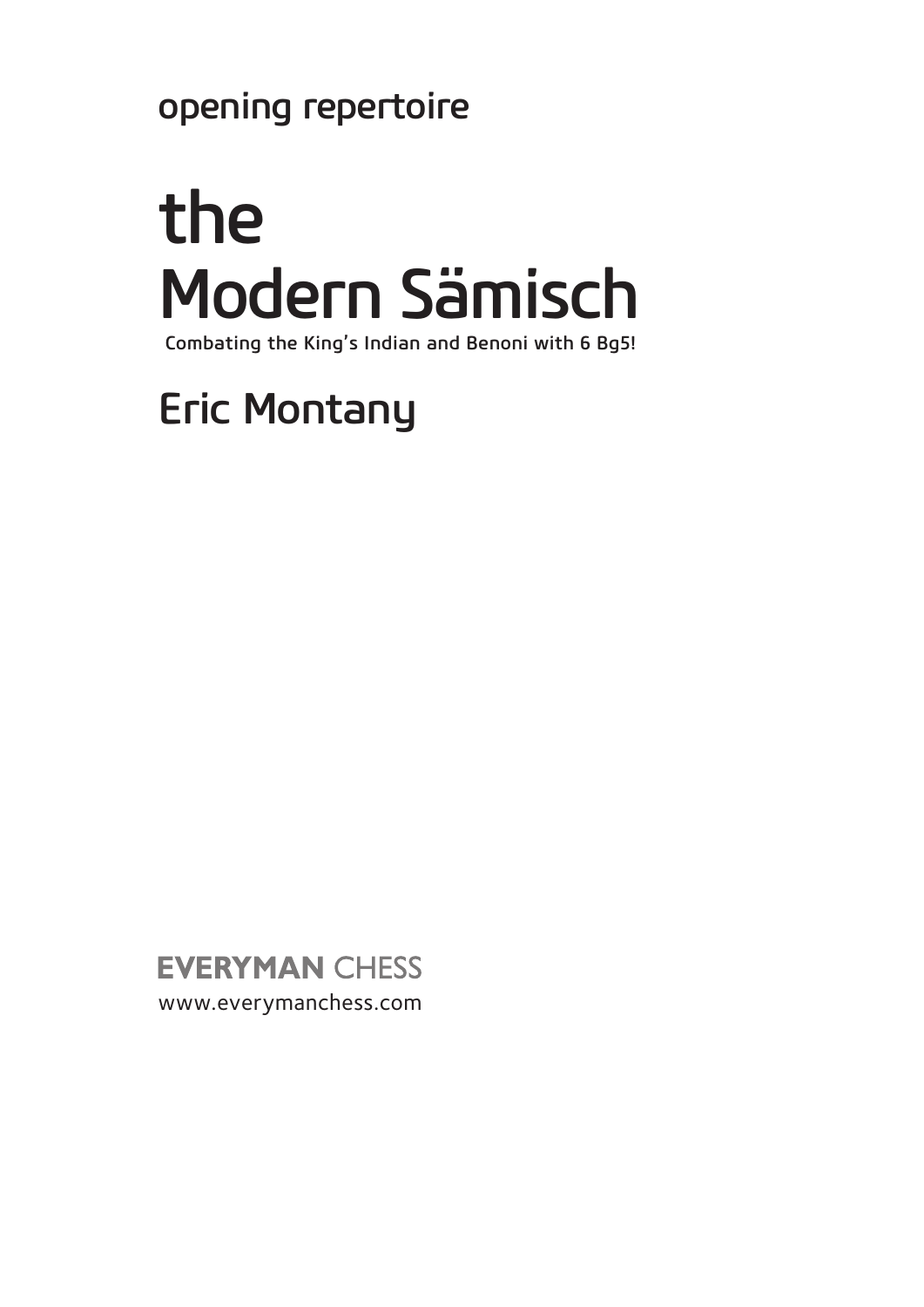opening repertoire

# the Modern Sämisch Combating the King's Indian and Benoni with 6 Bg5!

## **Eric Montany**

**EVERYMAN CHESS** www.everymanchess.com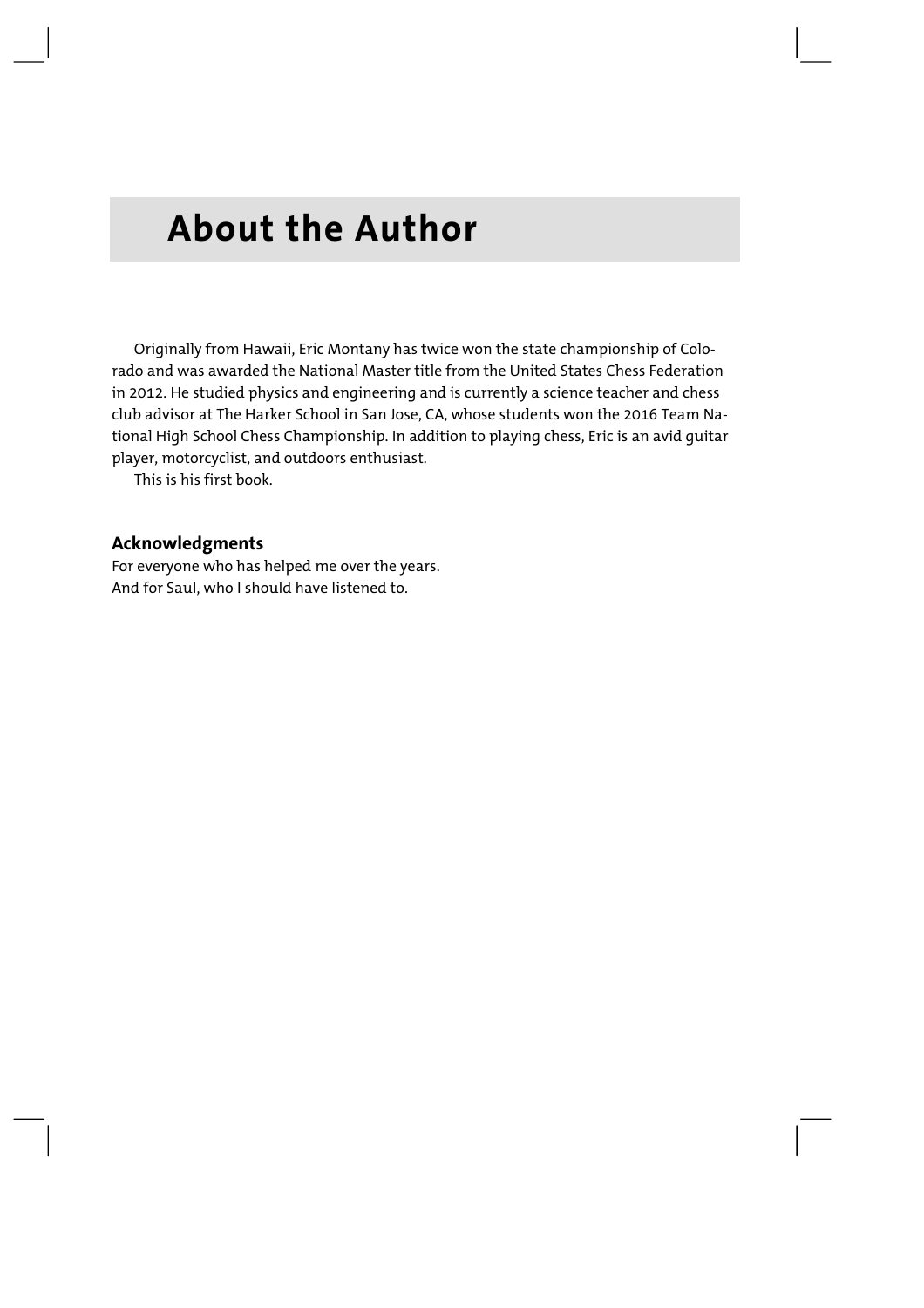### **About the Author**

Originally from Hawaii, Eric Montany has twice won the state championship of Colorado and was awarded the National Master title from the United States Chess Federation in 2012. He studied physics and engineering and is currently a science teacher and chess club advisor at The Harker School in San Jose, CA, whose students won the 2016 Team National High School Chess Championship. In addition to playing chess, Eric is an avid guitar player, motorcyclist, and outdoors enthusiast.

This is his first book.

#### **Acknowledgments**

For everyone who has helped me over the years. And for Saul, who I should have listened to.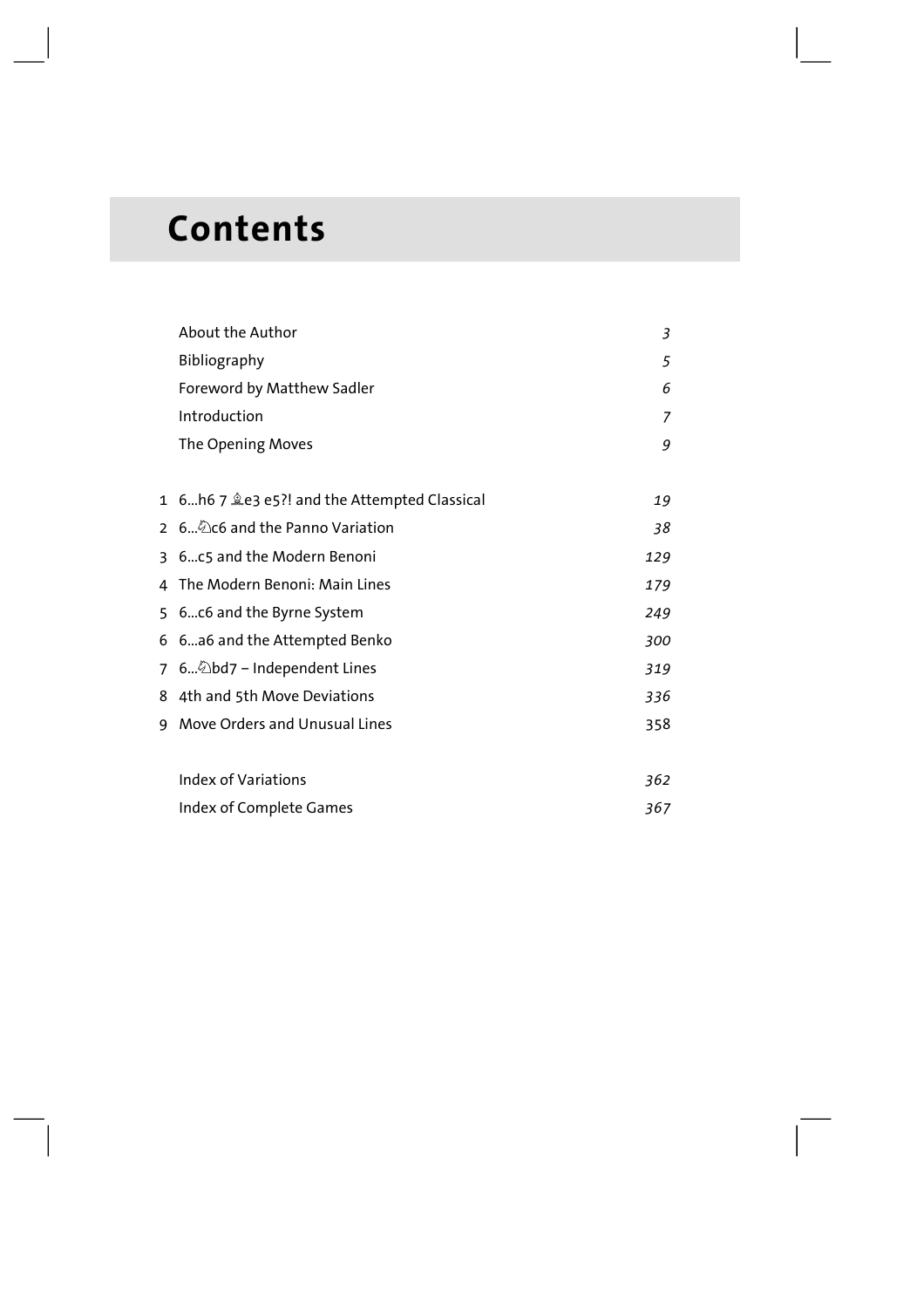### **Contents**

|                | About the Author                              | 3   |
|----------------|-----------------------------------------------|-----|
|                | Bibliography                                  | 5   |
|                | Foreword by Matthew Sadler                    | 6   |
|                | Introduction                                  | 7   |
|                | The Opening Moves                             | 9   |
|                |                                               |     |
|                | 1 6h6 7 \ e3 e5?! and the Attempted Classical | 19  |
| $\overline{2}$ | 6Co and the Panno Variation                   | 38  |
| 3              | 6c5 and the Modern Benoni                     | 129 |
| 4              | The Modern Benoni: Main Lines                 | 179 |
|                | 5 6c6 and the Byrne System                    | 249 |
|                | 6 6a6 and the Attempted Benko                 | 300 |
|                | 7 6 Dbd7 - Independent Lines                  | 319 |
| 8              | 4th and 5th Move Deviations                   | 336 |
| 9              | Move Orders and Unusual Lines                 | 358 |
|                |                                               |     |
|                | Index of Variations                           | 362 |
|                | Index of Complete Games                       | 367 |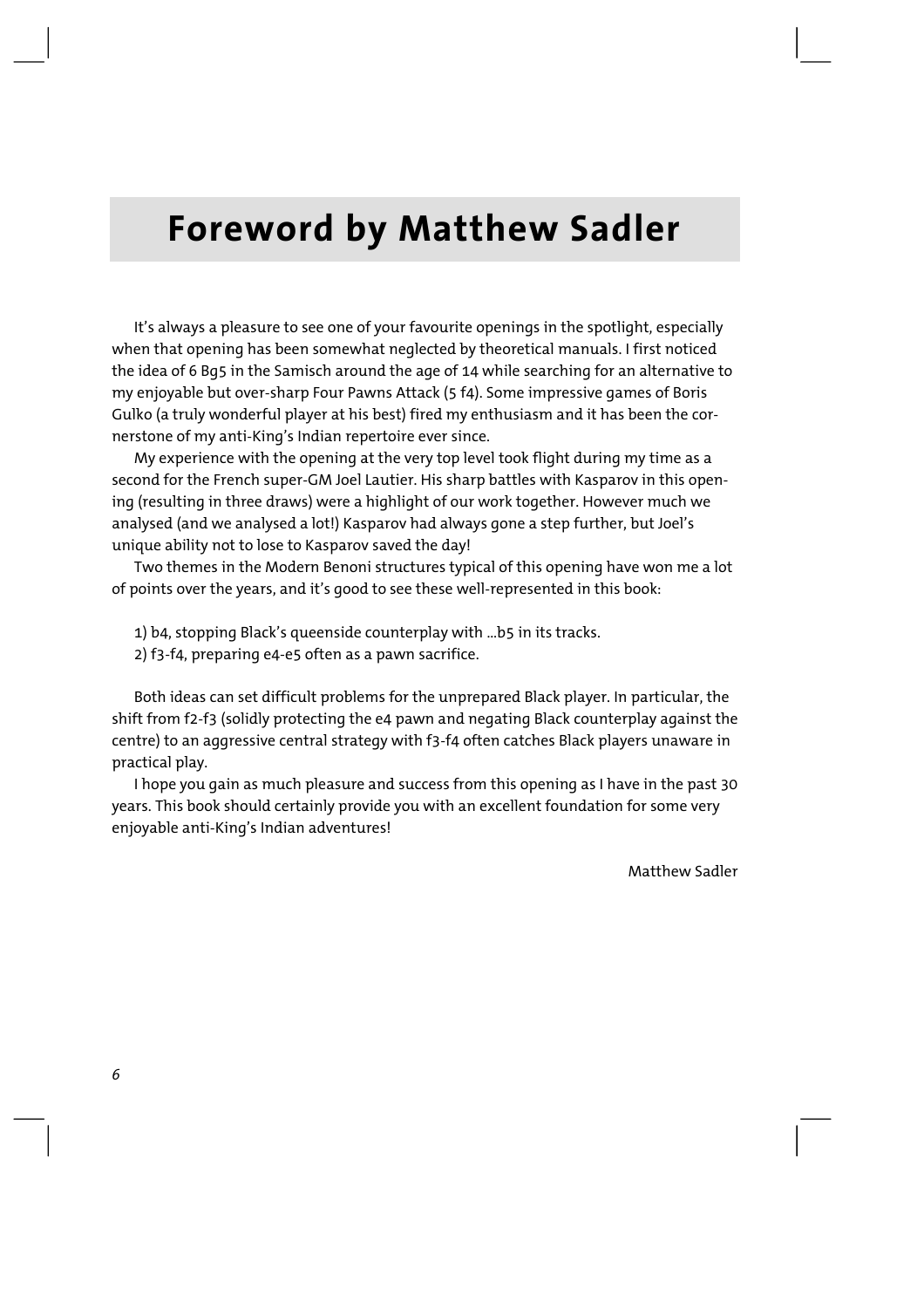### **Foreword by Matthew Sadler**

It's always a pleasure to see one of your favourite openings in the spotlight, especially when that opening has been somewhat neglected by theoretical manuals. I first noticed the idea of 6 Bg5 in the Samisch around the age of 14 while searching for an alternative to my enjoyable but over-sharp Four Pawns Attack (5 f4). Some impressive games of Boris Gulko (a truly wonderful player at his best) fired my enthusiasm and it has been the cornerstone of my anti-King's Indian repertoire ever since.

My experience with the opening at the very top level took flight during my time as a second for the French super-GM Joel Lautier. His sharp battles with Kasparov in this opening (resulting in three draws) were a highlight of our work together. However much we analysed (and we analysed a lot!) Kasparov had always gone a step further, but Joel's unique ability not to lose to Kasparov saved the day!

Two themes in the Modern Benoni structures typical of this opening have won me a lot of points over the years, and it's good to see these well-represented in this book:

- 1) b4, stopping Black's queenside counterplay with …b5 in its tracks.
- 2) f3-f4, preparing e4-e5 often as a pawn sacrifice.

Both ideas can set difficult problems for the unprepared Black player. In particular, the shift from f2-f3 (solidly protecting the e4 pawn and negating Black counterplay against the centre) to an aggressive central strategy with f3-f4 often catches Black players unaware in practical play.

I hope you gain as much pleasure and success from this opening as I have in the past 30 years. This book should certainly provide you with an excellent foundation for some very enjoyable anti-King's Indian adventures!

Matthew Sadler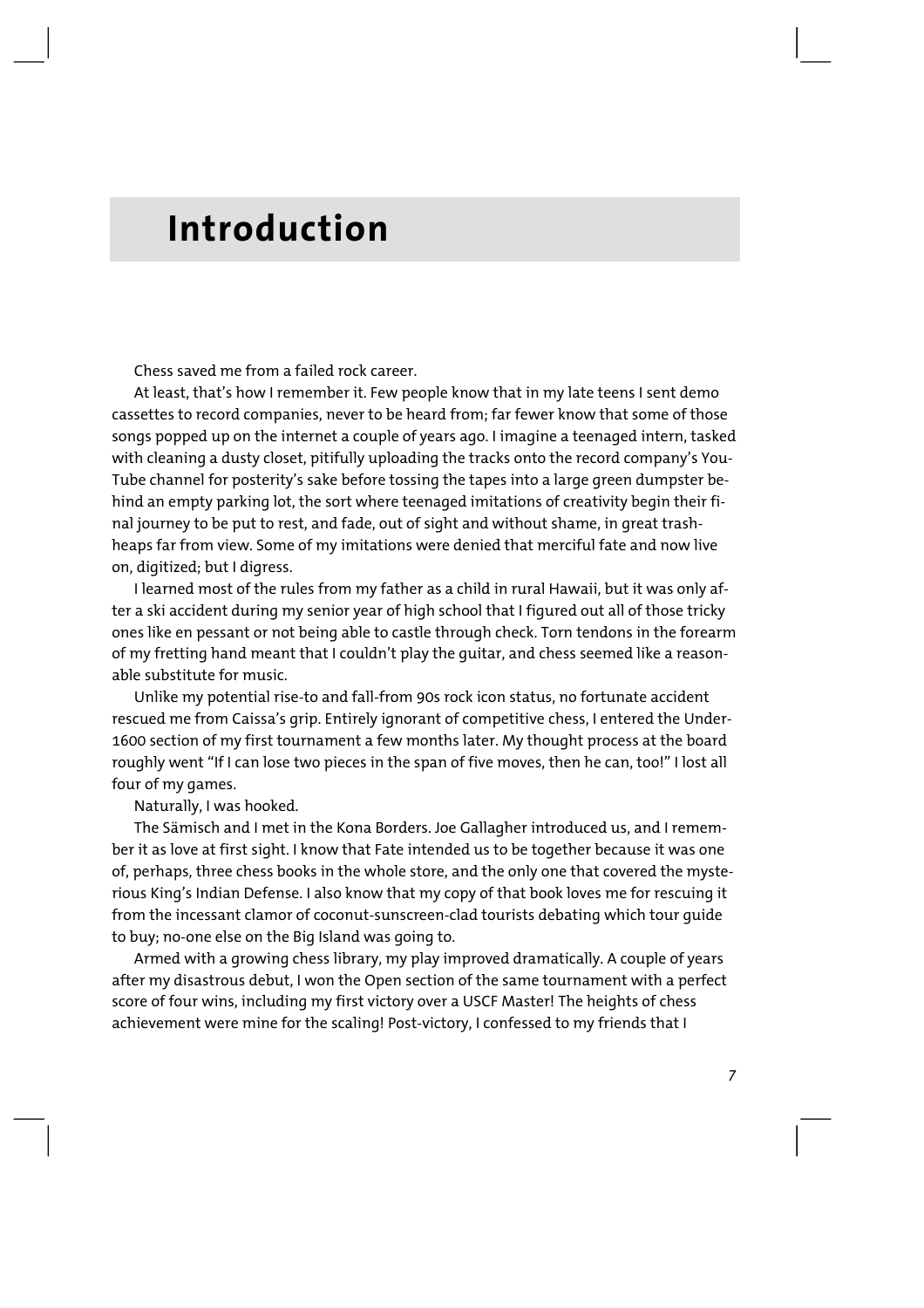### **Introduction**

Chess saved me from a failed rock career.

At least, that's how I remember it. Few people know that in my late teens I sent demo cassettes to record companies, never to be heard from; far fewer know that some of those songs popped up on the internet a couple of years ago. I imagine a teenaged intern, tasked with cleaning a dusty closet, pitifully uploading the tracks onto the record company's You-Tube channel for posterity's sake before tossing the tapes into a large green dumpster behind an empty parking lot, the sort where teenaged imitations of creativity begin their final journey to be put to rest, and fade, out of sight and without shame, in great trashheaps far from view. Some of my imitations were denied that merciful fate and now live on, digitized; but I digress.

I learned most of the rules from my father as a child in rural Hawaii, but it was only after a ski accident during my senior year of high school that I figured out all of those tricky ones like en pessant or not being able to castle through check. Torn tendons in the forearm of my fretting hand meant that I couldn't play the guitar, and chess seemed like a reasonable substitute for music.

Unlike my potential rise-to and fall-from 90s rock icon status, no fortunate accident rescued me from Caissa's grip. Entirely ignorant of competitive chess, I entered the Under-1600 section of my first tournament a few months later. My thought process at the board roughly went "If I can lose two pieces in the span of five moves, then he can, too!" I lost all four of my games.

Naturally, I was hooked.

The Sämisch and I met in the Kona Borders. Joe Gallagher introduced us, and I remember it as love at first sight. I know that Fate intended us to be together because it was one of, perhaps, three chess books in the whole store, and the only one that covered the mysterious King's Indian Defense. I also know that my copy of that book loves me for rescuing it from the incessant clamor of coconut-sunscreen-clad tourists debating which tour guide to buy; no-one else on the Big Island was going to.

Armed with a growing chess library, my play improved dramatically. A couple of years after my disastrous debut, I won the Open section of the same tournament with a perfect score of four wins, including my first victory over a USCF Master! The heights of chess achievement were mine for the scaling! Post-victory, I confessed to my friends that I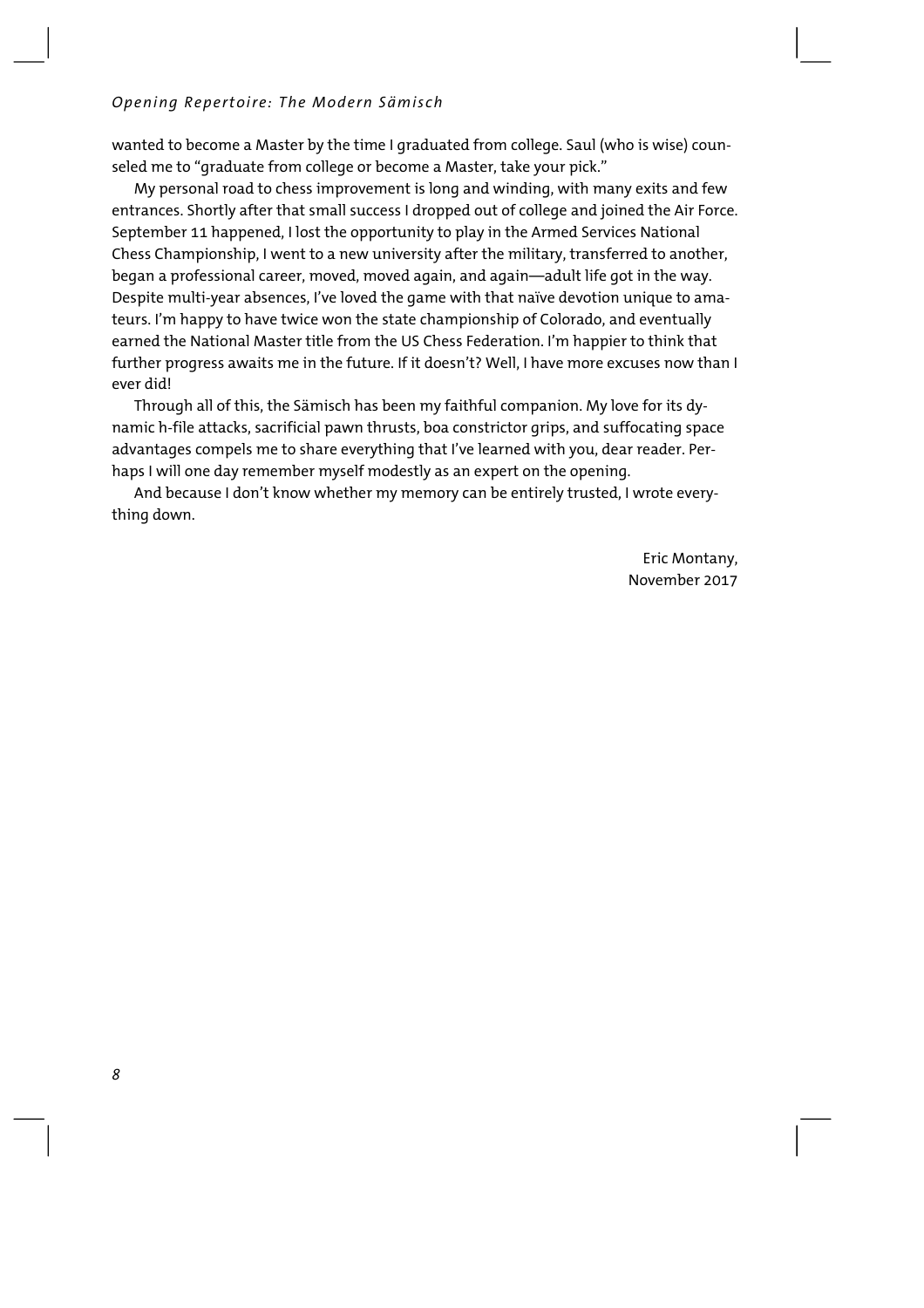#### *Opening Repertoire: The Modern Sämisch*

wanted to become a Master by the time I graduated from college. Saul (who is wise) counseled me to "graduate from college or become a Master, take your pick."

My personal road to chess improvement is long and winding, with many exits and few entrances. Shortly after that small success I dropped out of college and joined the Air Force. September 11 happened, I lost the opportunity to play in the Armed Services National Chess Championship, I went to a new university after the military, transferred to another, began a professional career, moved, moved again, and again—adult life got in the way. Despite multi-year absences, I've loved the game with that naïve devotion unique to amateurs. I'm happy to have twice won the state championship of Colorado, and eventually earned the National Master title from the US Chess Federation. I'm happier to think that further progress awaits me in the future. If it doesn't? Well, I have more excuses now than I ever did!

Through all of this, the Sämisch has been my faithful companion. My love for its dynamic h-file attacks, sacrificial pawn thrusts, boa constrictor grips, and suffocating space advantages compels me to share everything that I've learned with you, dear reader. Perhaps I will one day remember myself modestly as an expert on the opening.

And because I don't know whether my memory can be entirely trusted, I wrote everything down.

> Eric Montany, November 2017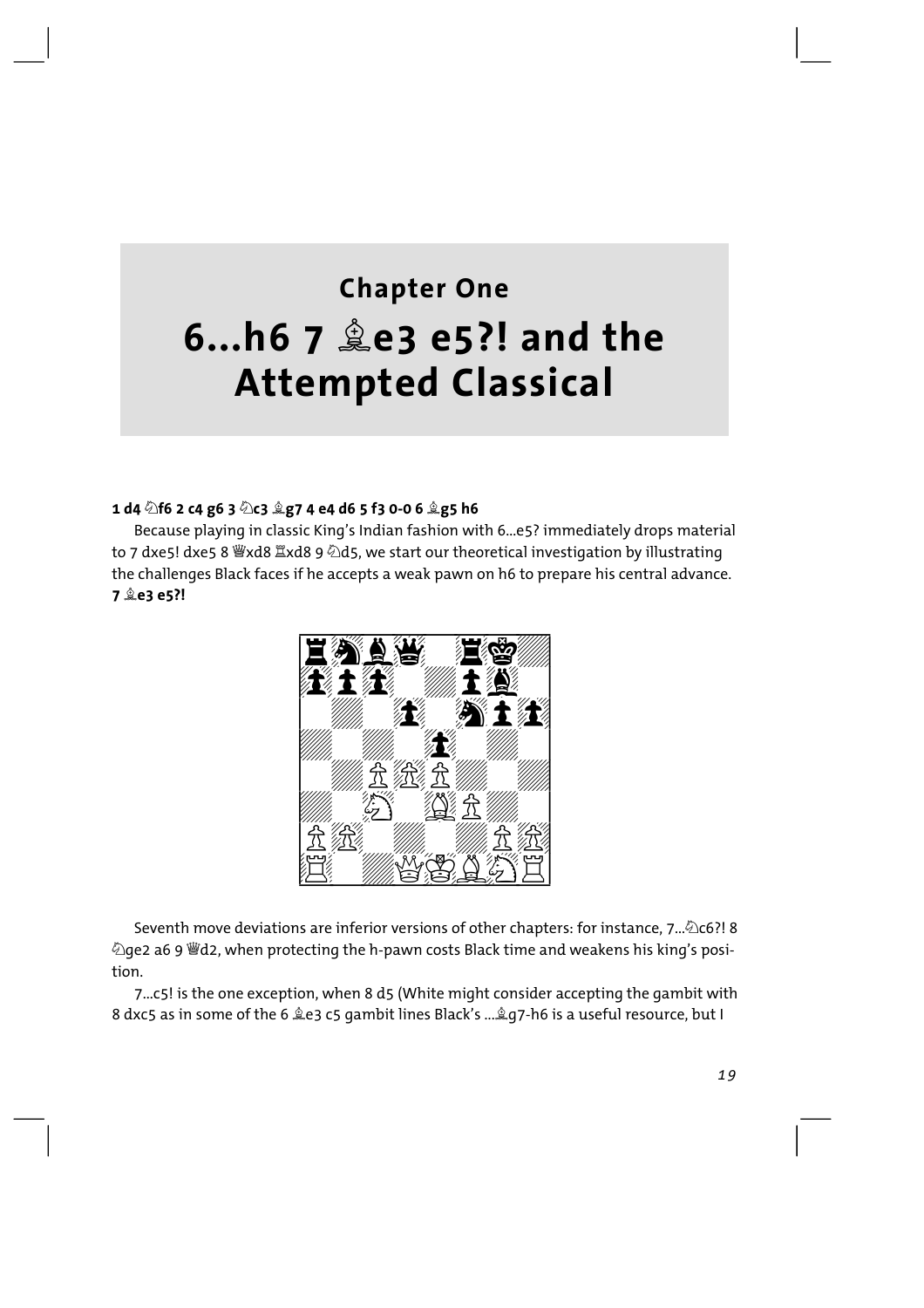### **Chapter One** 6...h6 7 **Le3** e5?! and the **Attempted Classical**

#### 1 d4  $\Diamond$ f6 2 c4 g6 3  $\Diamond$ c3  $\Diamond$ g7 4 e4 d6 5 f3 0-0 6  $\Diamond$ g5 h6

Because playing in classic King's Indian fashion with 6...e5? immediately drops material to 7 dxe5! dxe5 8 Wxd8  $\mathbb{Z}$ xd8 9 2d5, we start our theoretical investigation by illustrating the challenges Black faces if he accepts a weak pawn on h6 to prepare his central advance. 7 <sup>金</sup>e3 e5 ?!



Seventh move deviations are inferior versions of other chapters: for instance, 7... 266?! 8 tion.

7...c5! is the one exception, when 8 d5 (White might consider accepting the gambit with 8 dxc5 as in some of the 6  $2e3$  c5 gambit lines Black's ...  $2q7$ -h6 is a useful resource, but I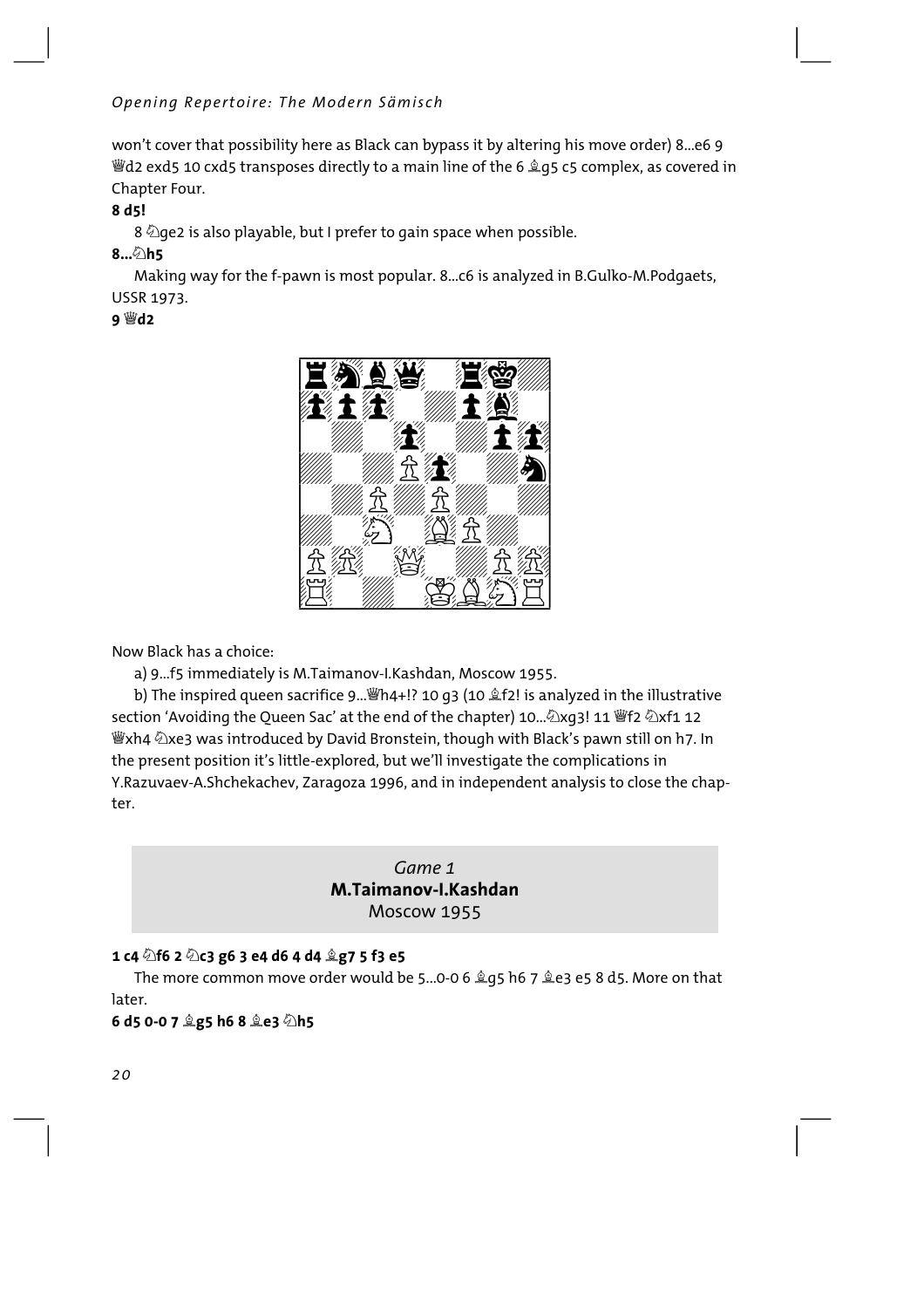won't cover that possibility here as Black can bypass it by altering his move order) 8...e6 9 *i* and exd5 10 cxd5 transposes directly to a main line of the 6 2 q5 c5 complex, as covered in Chapter Four.

#### 8 d<sub>5</sub>!

8  $\Diamond$  qe2 is also playable, but I prefer to gain space when possible.

#### 8... h5

Making way for the f-pawn is most popular. 8...c6 is analyzed in B.Gulko-M.Podgaets, **USSR 1973.** 

#### 9 營d2



Now Black has a choice:

a) 9...f5 immediately is M.Taimanov-I.Kashdan, Moscow 1955.

b) The inspired queen sacrifice 9... [hat] 10 g3 (10  $\&$  f2! is analyzed in the illustrative section 'Avoiding the Oueen Sac' at the end of the chapter) 10... 2xq3! 11 Ff2 2xf1 12 響xh4 ②xe3 was introduced by David Bronstein, though with Black's pawn still on h7. In the present position it's little-explored, but we'll investigate the complications in Y.Razuvaev-A.Shchekachev, Zaragoza 1996, and in independent analysis to close the chapter.

#### Game 1 M.Taimanov-I.Kashdan Moscow 1955

#### 1 c4 2f6 2 2c3 g6 3 e4 d6 4 d4 2g7 5 f3 e5

The more common move order would be 5...0-0 6  $\angle q$ 5 h6 7  $\angle$ e3 e5 8 d5. More on that later.

#### 6 d5 0-0 7 2g5 h6 8 2e3 2h5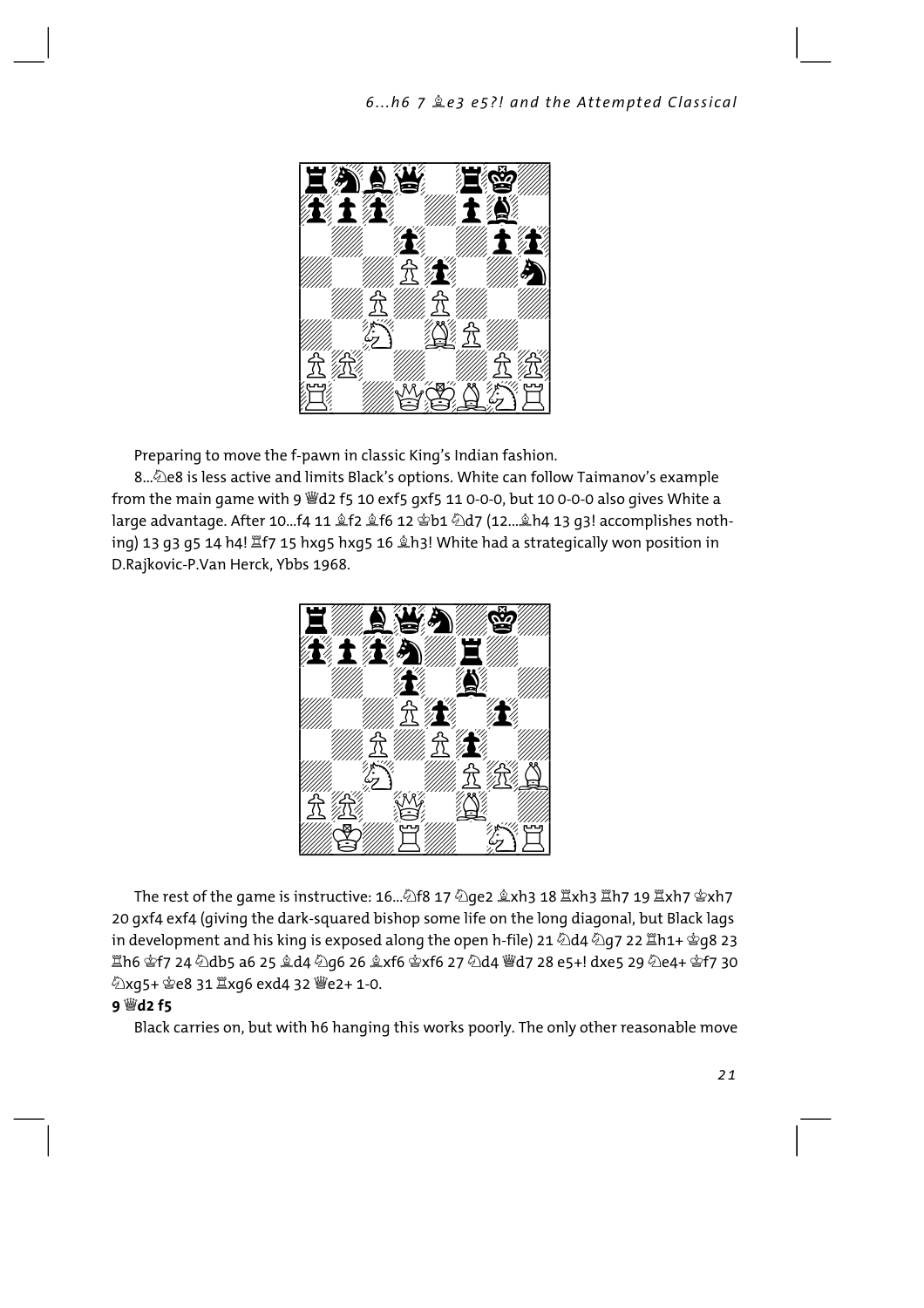

Preparing to move the f-pawn in classic King's Indian fashion.

8...@e8 is less active and limits Black's options. White can follow Taimanov's example from the main game with 9 Wd2 f5 10 exf5 gxf5 11 0-0-0, but 10 0-0-0 also gives White a large advantage. After 10...f4 11 盒f2 盒f6 12 窗b1 ②d7 (12... 鱼h4 13 g3! accomplishes nothing) 13 g3 g5 14 h4! 置f7 15 hxg5 hxq5 16 鱼h3! White had a strateqically won position in D.Rajkovic-P.Van Herck, Ybbs 1968.



The rest of the game is instructive: 16...密f8 17 മe2 호xh3 18 kxh3 lħ7 19 lxh7 @xh7 20 gxf4 exf4 (giving the dark-squared bishop some life on the long diagonal, but Black lags in development and his king is exposed along the open h-file) 21 \d4 \d4 2g7 22 \fin1+ \eq8 23 ଞ୍ଜାଁ କ୍ରି 124 ମାର୍ସ କର୍ଯ୍ୟ କର୍ଯ୍ୟ ପ୍ରତି 26 ଛ୍ରି 26 ଛ୍ର 26 ବ୍ର 27 ମାର୍ସ୍ 28 e5+! dxe5 29 ମାର୍ଥ୍ୟ ହ୍ରୀ 7 30 ②xg5+ = e8 31 Ixg6 exd4 32 @e2+ 1-0.

#### **9 幽d2 f5**

Black carries on, but with h6 hanging this works poorly. The only other reasonable move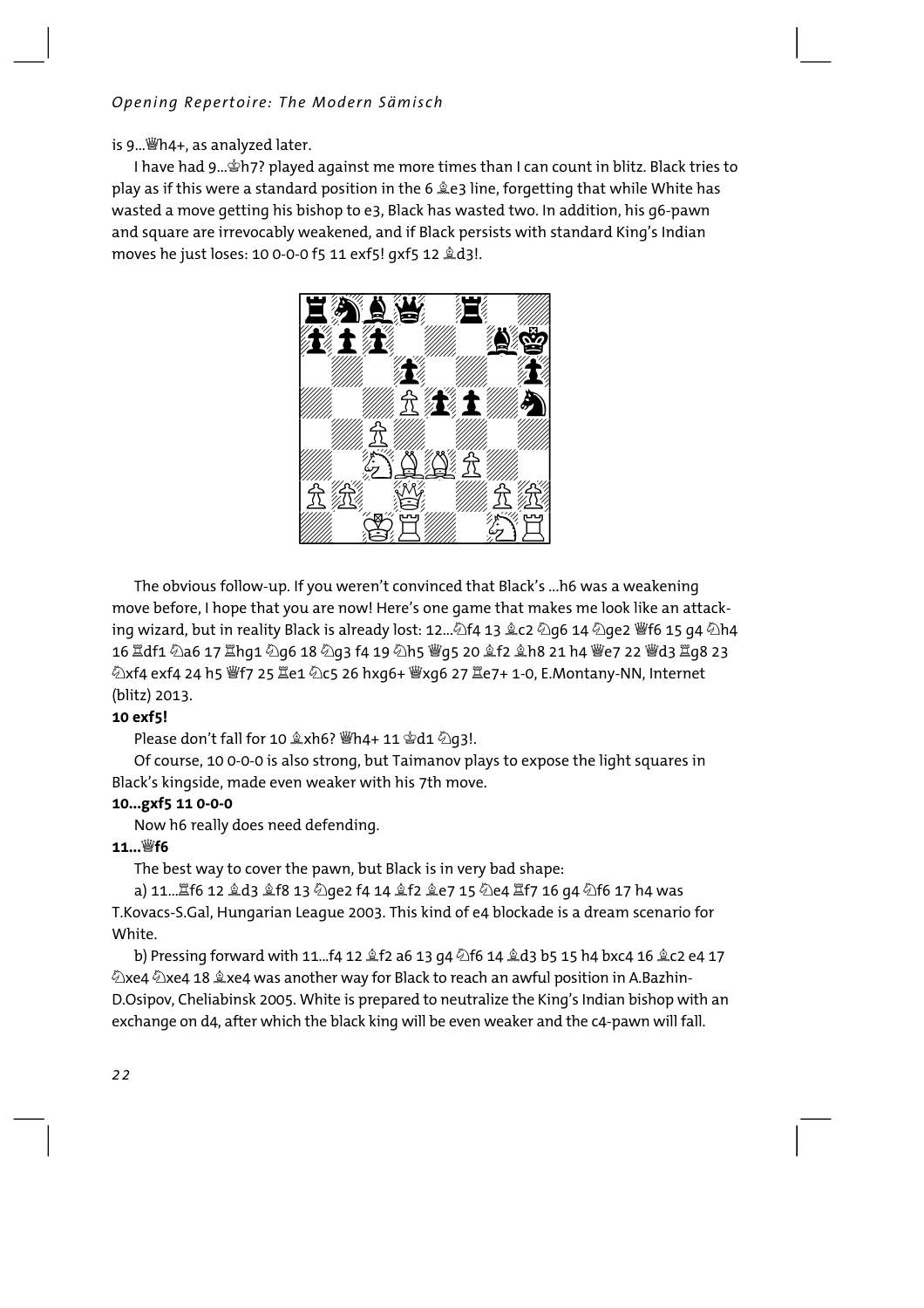#### Opening Repertoire: The Modern Sämisch

is 9... Wh4+, as analyzed later.

I have had 9... Ph7? played against me more times than I can count in blitz. Black tries to play as if this were a standard position in the 6  $\triangle$  e3 line, forgetting that while White has wasted a move getting his bishop to e3, Black has wasted two. In addition, his g6-pawn and square are irrevocably weakened, and if Black persists with standard King's Indian moves he just loses: 10 0-0-0 f5 11 exf5! qxf5 12 &d3!.



The obvious follow-up. If you weren't convinced that Black's ...h6 was a weakening move before, I hope that you are now! Here's one game that makes me look like an attacking wizard, but in reality Black is already lost: 12... 14 13 2c2 2g6 14 2ge2 Ff6 15 g4 2h4 16 Hdf1 2a6 17 Hhq1 2q6 18 2q3 f4 19 2h5 \qs 20 2f2 2h8 21 h4 \e7 22 \d3 Hq8 23 (blitz) 2013.

#### 10 exf5!

Please don't fall for 10  $x + 6$ ? 響h4+ 11  $x + 4$  公q3!.

Of course, 10 0-0-0 is also strong, but Taimanov plays to expose the light squares in Black's kingside, made even weaker with his 7th move.

#### 10...gxf5 11 0-0-0

Now h6 really does need defending.

#### 11... Wf6

The best way to cover the pawn, but Black is in very bad shape:

a) 11...ॾf6 12 ॾំd3 ॾំf8 13 ��@e2 f4 14 ॾំf2 ॾំe7 15 ��e4 ॾf7 16 g4 ��f6 17 h4 was T. Kovacs-S. Gal, Hungarian League 2003. This kind of e4 blockade is a dream scenario for White

b) Pressing forward with 11...f4 12  $\hat{\mathbb{L}}$ f2 a6 13 g4  $\hat{\mathbb{Z}}$ f6 14  $\hat{\mathbb{L}}$ d3 b5 15 h4 bxc4 16  $\hat{\mathbb{L}}$ c2 e4 17 Zxe4 Zxe4 18 2xe4 was another way for Black to reach an awful position in A.Bazhin-D.Osipov, Cheliabinsk 2005. White is prepared to neutralize the King's Indian bishop with an exchange on d4, after which the black king will be even weaker and the c4-pawn will fall.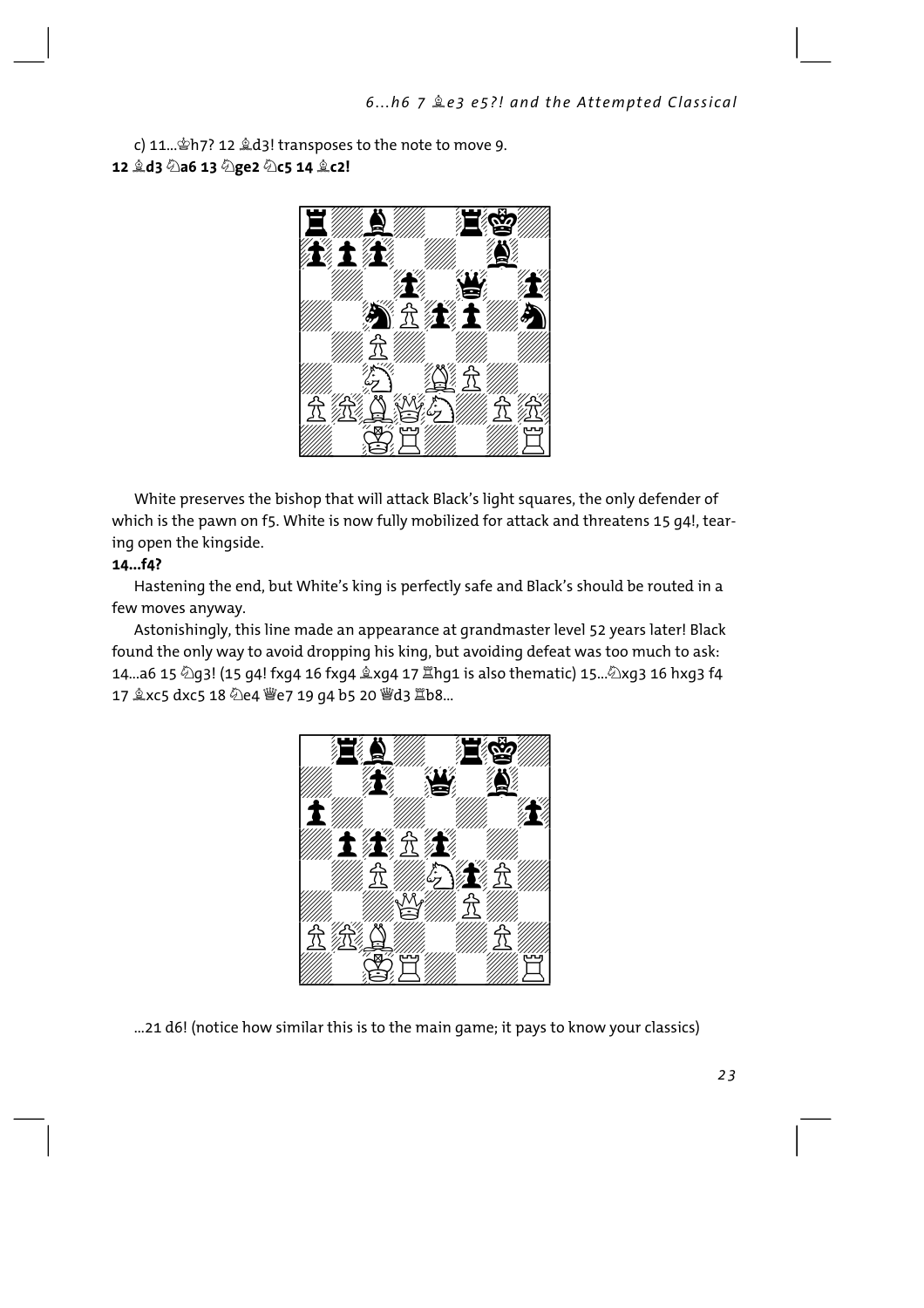c) 11... \$h7? 12 \$d3! transposes to the note to move 9. 12 *g*d3 2a6 13 2ge2 2c5 14 gc2!



White preserves the bishop that will attack Black's light squares, the only defender of which is the pawn on f5. White is now fully mobilized for attack and threatens 15 g4!, tearing open the kingside.

#### 14...f4?

Hastening the end, but White's king is perfectly safe and Black's should be routed in a few moves anyway.

Astonishingly, this line made an appearance at grandmaster level 52 years later! Black found the only way to avoid dropping his king, but avoiding defeat was too much to ask: 14...a6 15 @q3! (15 g4! fxg4 16 fxg4  $\&$ xg4 17  $\Xi$ hg1 is also thematic) 15...@xg3 16 hxg3 f4 17 gxc5 dxc5 18 2e4 曾e7 19 g4 b5 20 曾d3 骂b8...



...21 d6! (notice how similar this is to the main game; it pays to know your classics)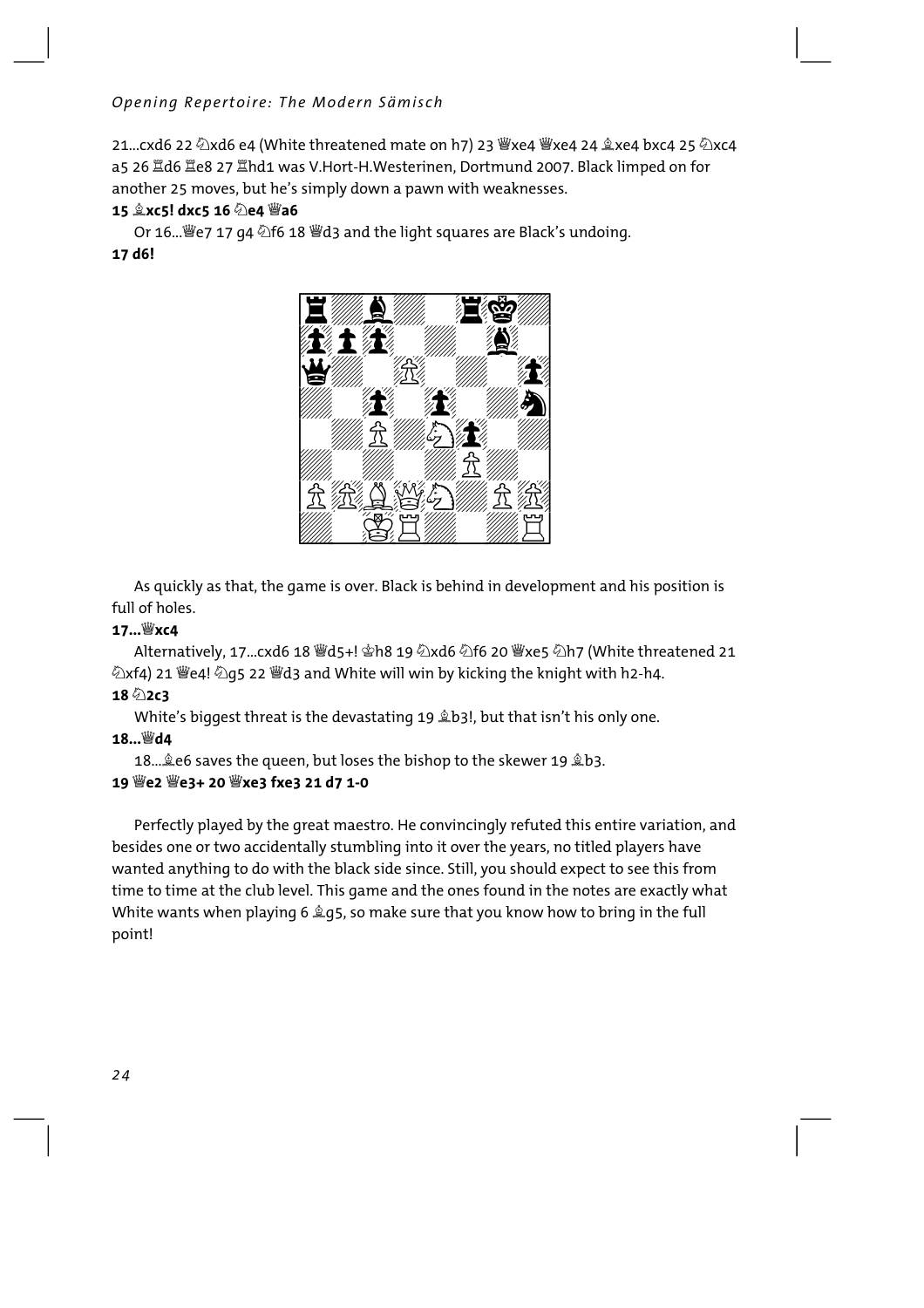21...cxd6 22 2xd6 e4 (White threatened mate on h7) 23 Wxe4 Wxe4 24 2xe4 bxc4 25 2xc4 a5 26 Id6 Ie8 27 Ihd1 was V.Hort-H.Westerinen, Dortmund 2007. Black limped on for another 25 moves, but he's simply down a pawn with weaknesses.

#### 15 gxc5! dxc5 16 2e4 曾a6

Or 16... *豐e* 7 17 g4 公f6 18 *豐d* 3 and the light squares are Black's undoing. 17 d6!



As quickly as that, the game is over. Black is behind in development and his position is full of holes.

#### $17...$ Wxc4

②xf4) 21 曾e4! ②q5 22 曾d3 and White will win by kicking the knight with h2-h4.

#### $18 \text{ }^{\circ}\text{ }2 \text{ }c3$

White's biggest threat is the devastating 19 \$b3!, but that isn't his only one.

#### 18... Wd4

18. Le6 saves the queen, but loses the bishop to the skewer 19 Lb3.

#### 

Perfectly played by the great maestro. He convincingly refuted this entire variation, and besides one or two accidentally stumbling into it over the years, no titled players have wanted anything to do with the black side since. Still, you should expect to see this from time to time at the club level. This game and the ones found in the notes are exactly what White wants when playing 6 2g5, so make sure that you know how to bring in the full point!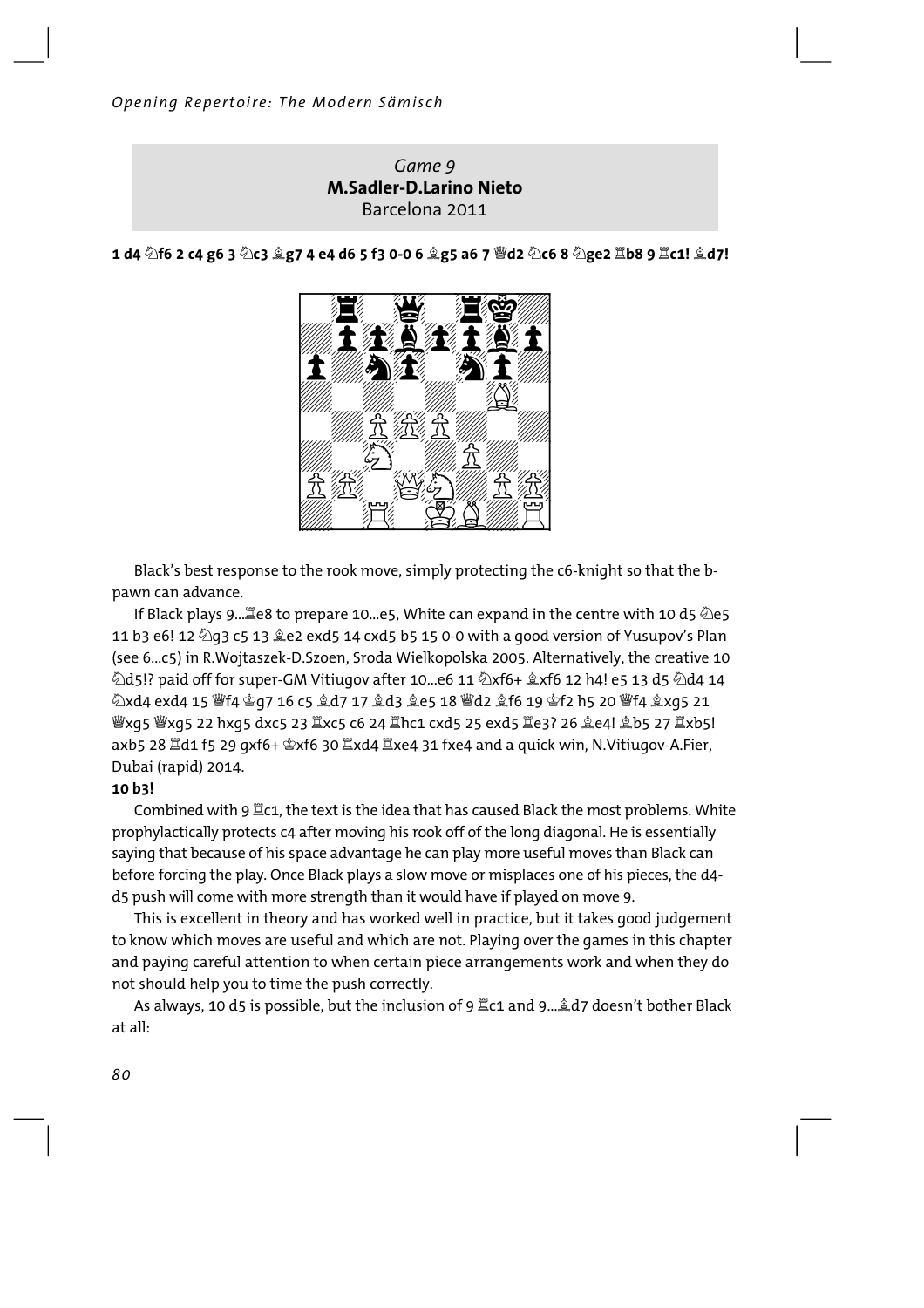#### Game 9 **M.Sadler-D.Larino Nieto** Barcelona 2011

1 d4  $\Diamond$ f6 2 c4 g6 3  $\Diamond$ c3  $\Diamond$ g7 4 e4 d6 5 f3 0-0 6  $\Diamond$ g5 a6 7  $\mathscr{C}$ d2  $\Diamond$ c6 8  $\Diamond$ ge2  $\mathbb{Z}$ b8 9  $\mathbb{Z}$ c1!  $\Diamond$ d7!

Black's best response to the rook move, simply protecting the c6-knight so that the bpawn can advance.

If Black plays 9... Ee8 to prepare 10...e5, White can expand in the centre with 10 d5 2e5 11 b3 e6! 12 2 g3 c5 13 2 e2 exd5 14 cxd5 b5 15 0-0 with a good version of Yusupov's Plan (see 6...c5) in R.Wojtaszek-D.Szoen, Sroda Wielkopolska 2005. Alternatively, the creative 10  $\&$ d5!? paid off for super-GM Vitiugov after 10...e6 11  $\&$ xf6+  $\&$ xf6 12 h4! e5 13 d5  $\&$ d4 14 *Wexos Wxos 22 hxos dxcs 23 ป*ٌxc5 c6 24 ป๊hc1 cxd5 25 exd5 ป๊e3? 26 ହe4! ହ�b5 27 ป๊xb5! axb5 28  $\tilde{\Xi}$ d1 f5 29 qxf6+  $\hat{\Phi}$ xf6 30  $\tilde{\Xi}$ xd4  $\tilde{\Xi}$ xe4 31 fxe4 and a quick win, N.Vitiugov-A.Fier, Dubai (rapid) 2014.

#### 10 b3!

Combined with 9  $\mathbb{Z}$ c1, the text is the idea that has caused Black the most problems. White prophylactically protects c4 after moving his rook off of the long diagonal. He is essentially saying that because of his space advantage he can play more useful moves than Black can before forcing the play. Once Black plays a slow move or misplaces one of his pieces, the d4d5 push will come with more strength than it would have if played on move 9.

This is excellent in theory and has worked well in practice, but it takes good judgement to know which moves are useful and which are not. Playing over the games in this chapter and paying careful attention to when certain piece arrangements work and when they do not should help you to time the push correctly.

As always, 10 d5 is possible, but the inclusion of 9  $\Xi$ c1 and 9...  $\&$ d7 doesn't bother Black  $at$ all $\cdot$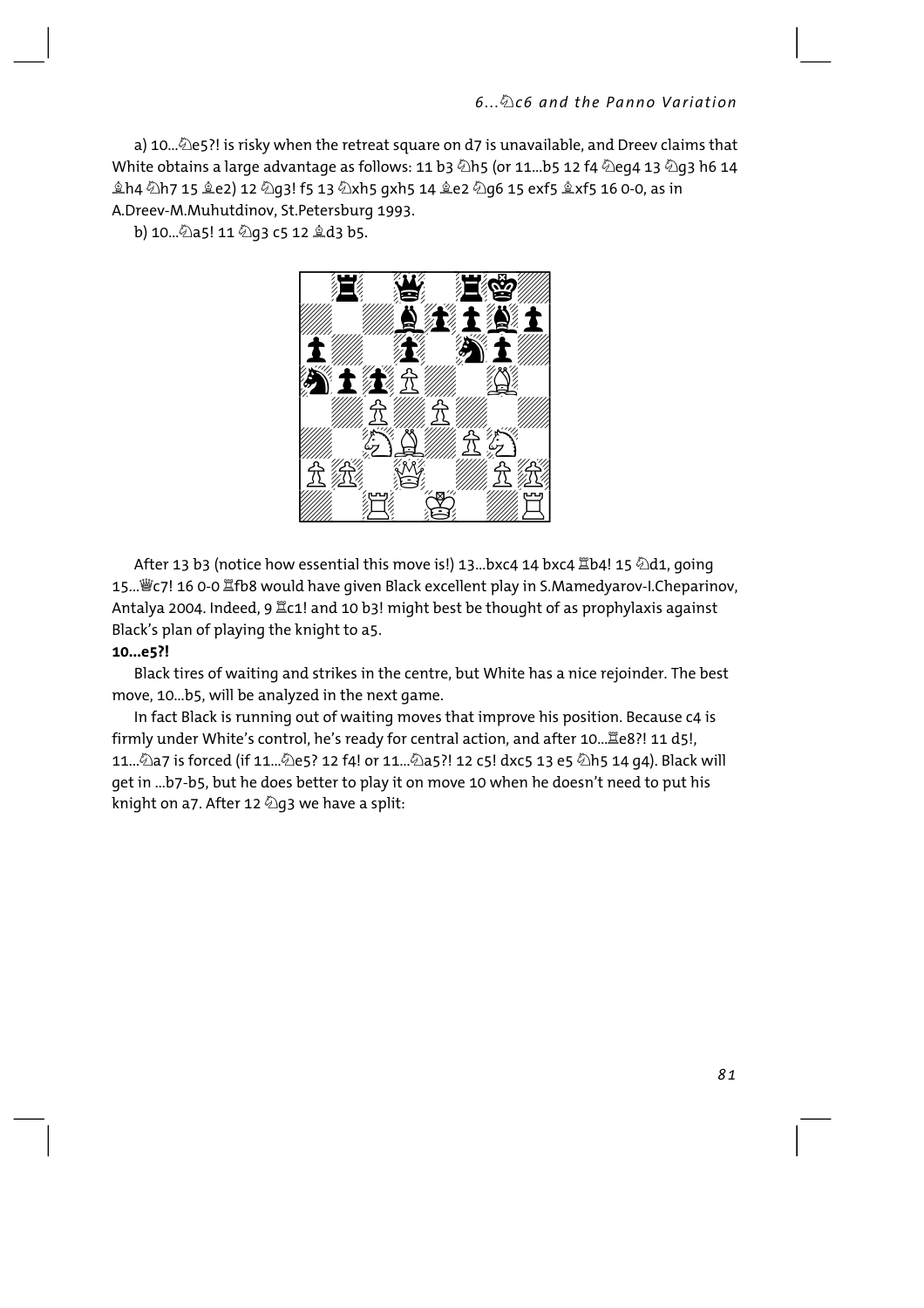a) 10... $\triangle$ e5?! is risky when the retreat square on d7 is unavailable, and Dreev claims that White obtains a large advantage as follows: 11 b3  $\&$ h5 (or 11...b5 12 f4  $\&$ eq4 13  $\&$ q3 h6 14 奠h4 公h7 15 奠e2) 12 ଧq3! f5 13 公xh5 qxh5 14 奠e2 ଧq6 15 exf5 拿xf5 16 0-0, as in A.Dreev-M.Muhutdinov. St.Petersburg 1993.

b) 10... 2a5! 11 2g3 c5 12 2d3 b5.



After 13 b3 (notice how essential this move is!) 13...bxc4 14 bxc4  $\mathbb{Z}$ b4! 15  $\Diamond$ d1, going 15...빻c7! 16 0-0 뿔fb8 would have given Black excellent play in S.Mamedyarov-I.Cheparinov, Antalya 2004. Indeed, 9 Kc1! and 10 b3! might best be thought of as prophylaxis against Black's plan of playing the knight to a5.

#### $10...e5?$

Black tires of waiting and strikes in the centre, but White has a nice rejoinder. The best move, 10...b5, will be analyzed in the next game.

In fact Black is running out of waiting moves that improve his position. Because c4 is firmly under White's control, he's ready for central action, and after 10.... e8?! 11 d5!, 11...۞a7 is forced (if 11...۞e5? 12 f4! or 11...۞a5?! 12 c5! dxc5 13 e5 ۞h5 14 g4). Black will get in ...b7-b5, but he does better to play it on move 10 when he doesn't need to put his knight on a7. After 12 29 we have a split: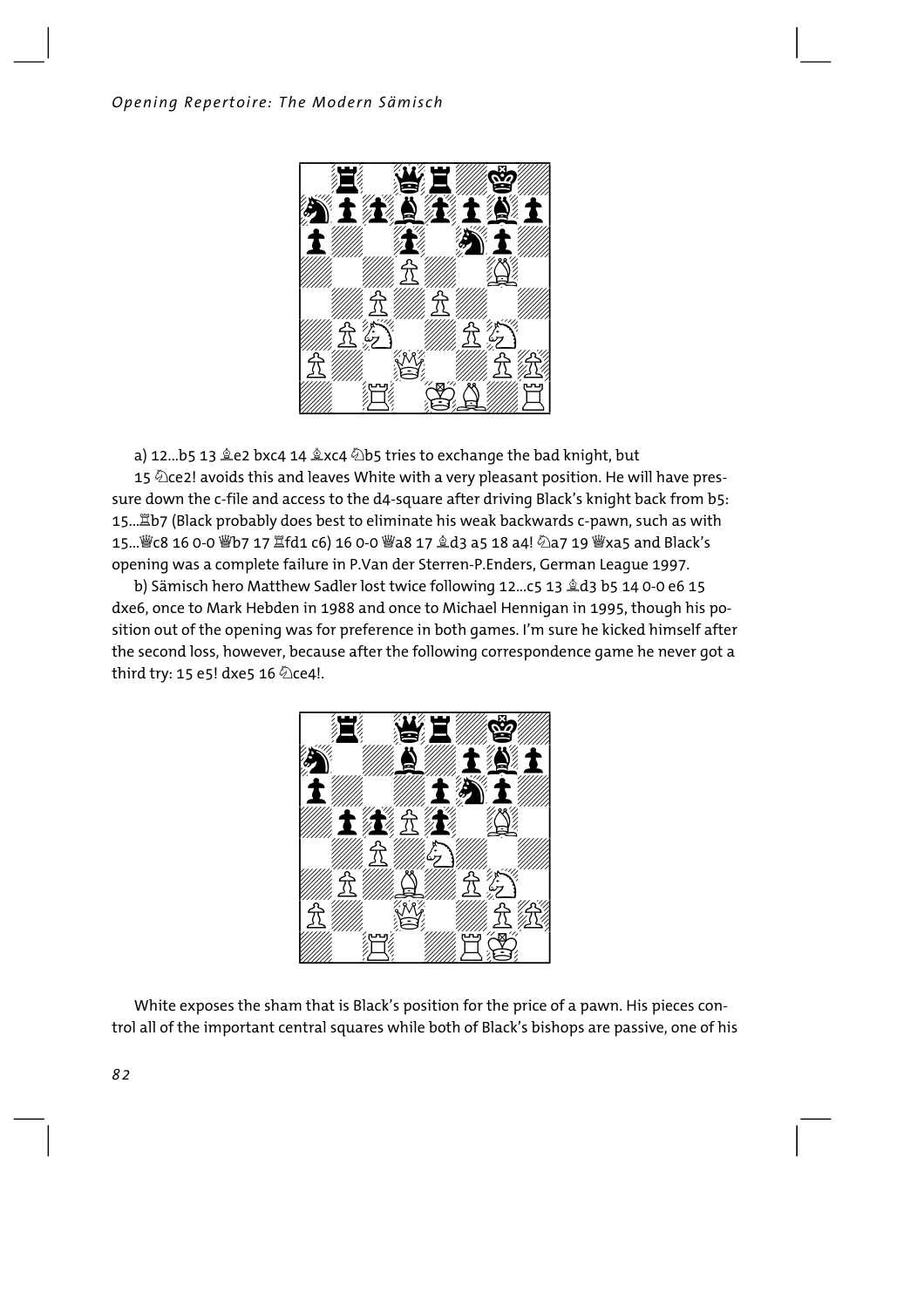

a) 12...b5 13 皇e2 bxc4 14 皇xc4 2b5 tries to exchange the bad knight, but 15 @ce2! avoids this and leaves White with a very pleasant position. He will have pressure down the c-file and access to the d4-square after driving Black's knight back from b5: 15.... 置b7 (Black probably does best to eliminate his weak backwards c-pawn, such as with opening was a complete failure in P.Van der Sterren-P.Enders, German League 1997.

b) Sämisch hero Matthew Sadler lost twice following 12...c5 13 &d3 b5 14 0-0 e6 15 dxe6, once to Mark Hebden in 1988 and once to Michael Hennigan in 1995, though his position out of the opening was for preference in both games. I'm sure he kicked himself after the second loss, however, because after the following correspondence game he never got a third try: 15 e5! dxe5 16 @ce4!.



White exposes the sham that is Black's position for the price of a pawn. His pieces control all of the important central squares while both of Black's bishops are passive, one of his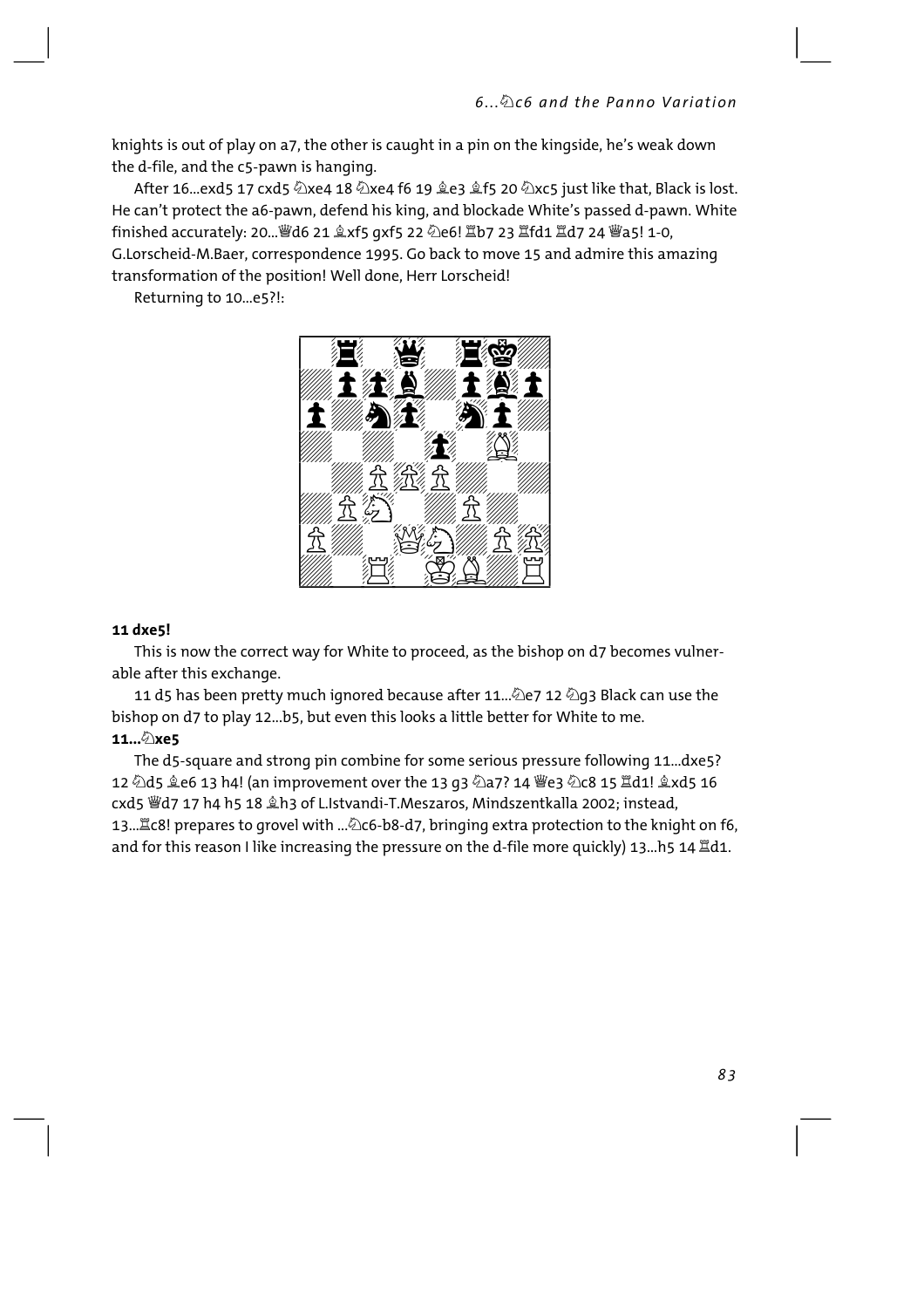knights is out of play on a7, the other is caught in a pin on the kingside, he's weak down the d-file, and the c5-pawn is hanging.

After 16...exd5 17 cxd5 ②xe4 18 ②xe4 f6 19 奠e3 奠f5 20 ④xc5 just like that, Black is lost. He can't protect the a6-pawn, defend his king, and blockade White's passed d-pawn. White finished accurately: 20... @d6 21  $\&x$ f5 qxf5 22  $\&e$ 6!  $\&b$ 7 23  $\&f$ d1  $\&d$ 7 24 @a5! 1-0, G.Lorscheid-M.Baer, correspondence 1995. Go back to move 15 and admire this amazing transformation of the position! Well done, Herr Lorscheid!

Returning to 10...e5?!:



#### 11 dxe5!

This is now the correct way for White to proceed, as the bishop on d7 becomes vulnerable after this exchange.

11 d5 has been pretty much ignored because after 11...②e7 12 ②g3 Black can use the bishop on d7 to play 12...b5, but even this looks a little better for White to me. 11... 2xe5

The d5-square and strong pin combine for some serious pressure following 11...dxe5? 12 公d5 拿e6 13 h4! (an improvement over the 13 g3 公a7? 14 豐e3 公c8 15 置d1! 拿xd5 16 cxd5 Wd7 17 h4 h5 18 &h3 of L.Istvandi-T.Meszaros, Mindszentkalla 2002; instead, and for this reason I like increasing the pressure on the d-file more quickly) 13...h5 14  $\mathbb{Z}$ d1.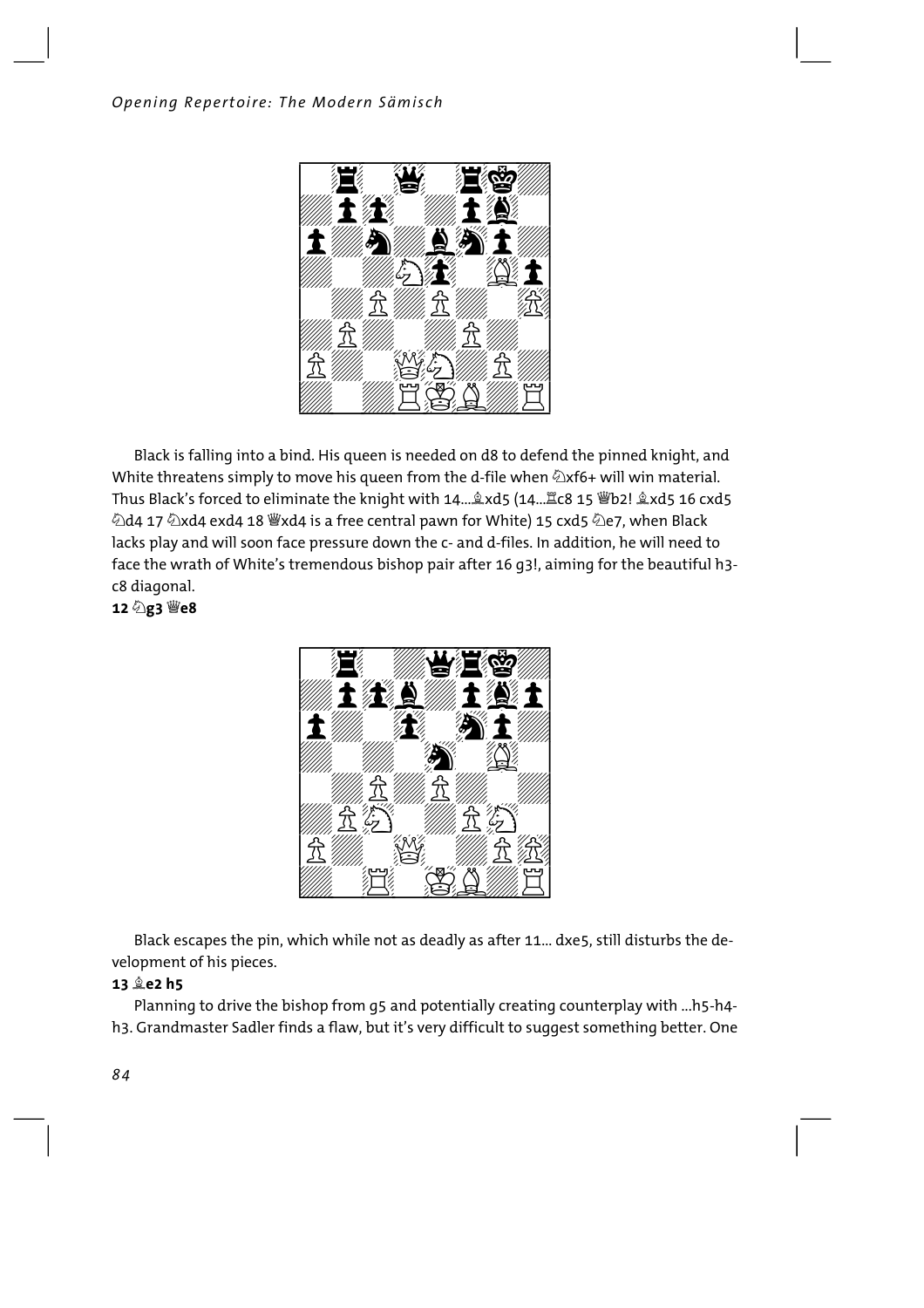

Black is falling into a bind. His queen is needed on d8 to defend the pinned knight, and White threatens simply to move his queen from the d-file when  $\triangle x$ f6+ will win material. Thus Black's forced to eliminate the knight with 14... &xd5 (14... Ec8 15 Wb2! &xd5 16 cxd5  $\ddot{a}$ d4 17  $\ddot{a}$ xd4 exd4 18  $\ddot{w}$ xd4 is a free central pawn for White) 15 cxd5  $\ddot{a}$ e7, when Black lacks play and will soon face pressure down the c- and d-files. In addition, he will need to face the wrath of White's tremendous bishop pair after 16 q3!, aiming for the beautiful h3c8 diagonal.

12 2g3 曾e8



Black escapes the pin, which while not as deadly as after 11... dxe5, still disturbs the development of his pieces.

#### 13 **全e2 h5**

Planning to drive the bishop from q5 and potentially creating counterplay with ...h5-h4h3. Grandmaster Sadler finds a flaw, but it's very difficult to suggest something better. One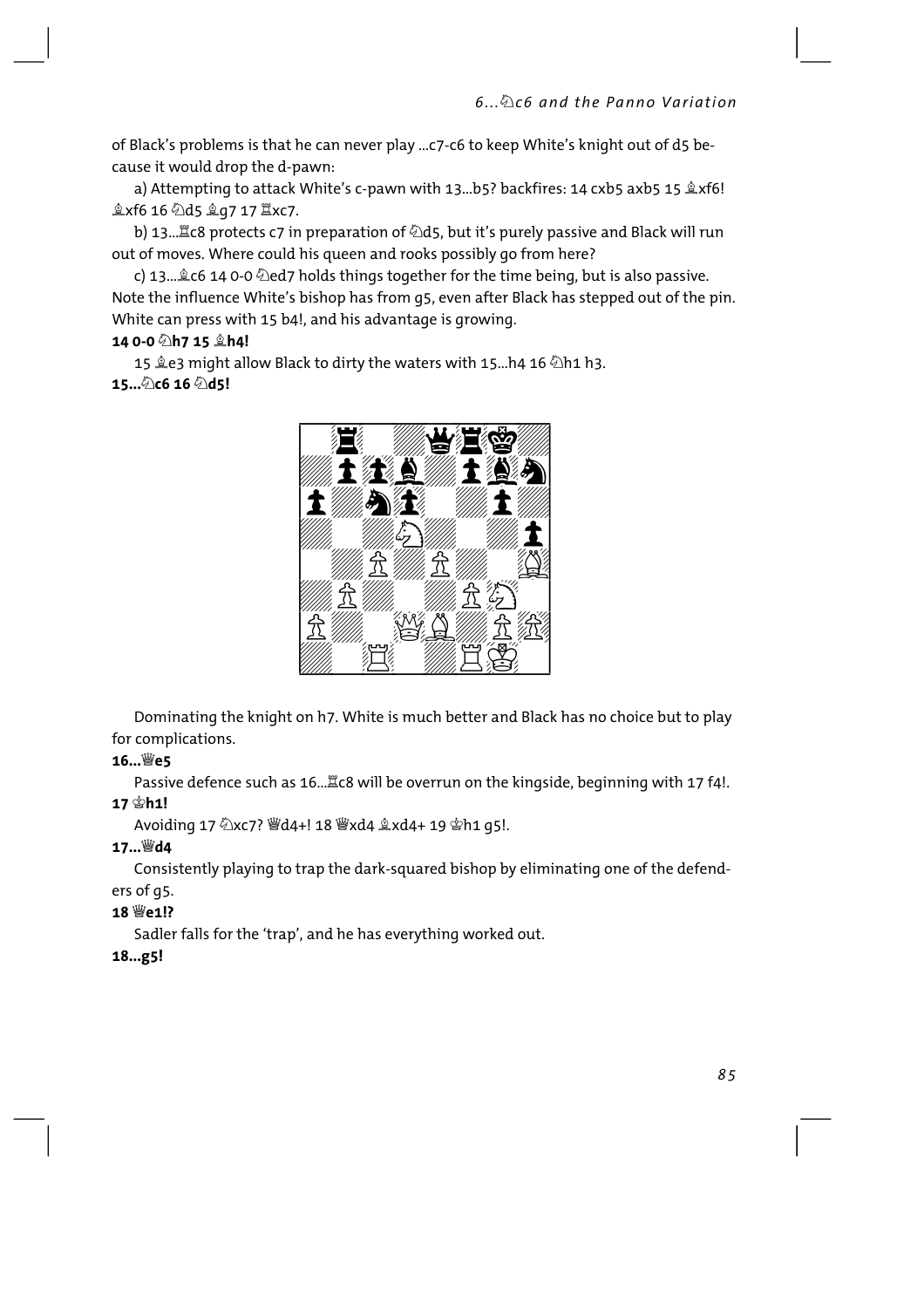of Black's problems is that he can never play ... c7-c6 to keep White's knight out of d5 because it would drop the d-pawn:

a) Attempting to attack White's c-pawn with 13...b5? backfires: 14 cxb5 axb5 15  $x$ f6! gxf6 16 2d5 ga7 17 Exc7.

out of moves. Where could his queen and rooks possibly go from here?

c) 13... Lc6 14 0-0  $\Diamond$ ed7 holds things together for the time being, but is also passive. Note the influence White's bishop has from q5, even after Black has stepped out of the pin. White can press with 15 b4!, and his advantage is growing.

#### 14 0-0 2h7 15 <sup>4</sup>h4!

15 皇e3 might allow Black to dirty the waters with 15...h4 16 2h1 h3.  $15...$ 2) $c6 16 2d5!$ 



Dominating the knight on h7. White is much better and Black has no choice but to play for complications.

#### 16…<sup>3</sup>e5

Passive defence such as 16... Lc8 will be overrun on the kingside, beginning with 17 f4!.

#### 

Avoiding 17 2xc7? | 過d4+! 18 習xd4 gxd4+ 19 \$h1 q5!.

#### 17... Wd4

Consistently playing to trap the dark-squared bishop by eliminating one of the defenders of q5.

#### 18 We1!?

Sadler falls for the 'trap', and he has everything worked out.

#### 18...g5!